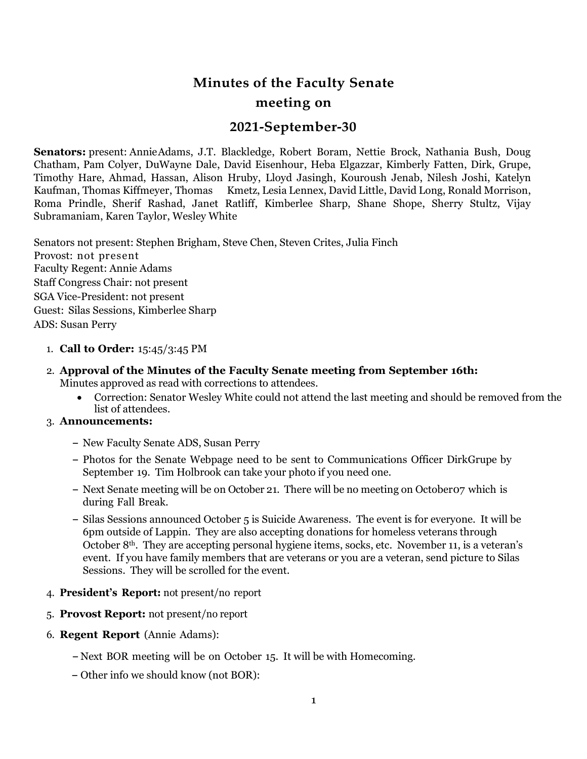# **Minutes of the Faculty Senate meeting on**

## **2021-September-30**

**Senators:** present: AnnieAdams, J.T. Blackledge, Robert Boram, Nettie Brock, Nathania Bush, Doug Chatham, Pam Colyer, DuWayne Dale, David Eisenhour, Heba Elgazzar, Kimberly Fatten, Dirk, Grupe, Timothy Hare, Ahmad, Hassan, Alison Hruby, Lloyd Jasingh, Kouroush Jenab, Nilesh Joshi, Katelyn Kaufman, Thomas Kiffmeyer, Thomas Kmetz, Lesia Lennex, David Little, David Long, Ronald Morrison, Roma Prindle, Sherif Rashad, Janet Ratliff, Kimberlee Sharp, Shane Shope, Sherry Stultz, Vijay Subramaniam, Karen Taylor, Wesley White

Senators not present: Stephen Brigham, Steve Chen, Steven Crites, Julia Finch Provost: not present Faculty Regent: Annie Adams Staff Congress Chair: not present SGA Vice-President: not present Guest: Silas Sessions, Kimberlee Sharp ADS: Susan Perry

## 1. **Call to Order:** 15:45/3:45 PM

- 2. **Approval of the Minutes of the Faculty Senate meeting from September 16th:** Minutes approved as read with corrections to attendees.
	- Correction: Senator Wesley White could not attend the last meeting and should be removed from the list of attendees.

## 3. **Announcements:**

- **–** New Faculty Senate ADS, Susan Perry
- **–** Photos for the Senate Webpage need to be sent to Communications Officer DirkGrupe by September 19. Tim Holbrook can take your photo if you need one.
- **–** Next Senate meeting will be on October 21. There will be no meeting on October07 which is during Fall Break.
- **–** Silas Sessions announced October 5 is Suicide Awareness. The event is for everyone. It will be 6pm outside of Lappin. They are also accepting donations for homeless veterans through October 8th. They are accepting personal hygiene items, socks, etc. November 11, is a veteran's event. If you have family members that are veterans or you are a veteran, send picture to Silas Sessions. They will be scrolled for the event.
- 4. **President's Report:** not present/no report
- 5. **Provost Report:** not present/no report
- 6. **Regent Report** (Annie Adams):
	- **–** Next BOR meeting will be on October 15. It will be with Homecoming.
	- **–** Other info we should know (not BOR):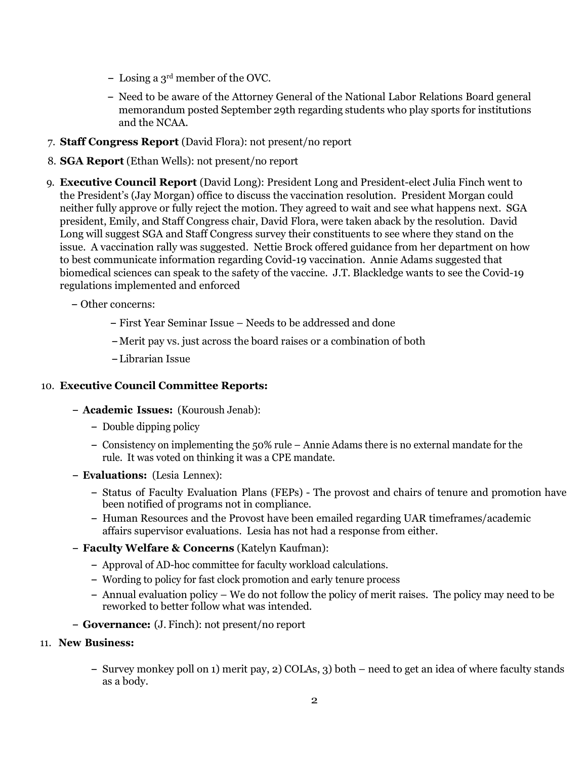- **–** Losing a 3rd member of the OVC.
- **–** Need to be aware of the Attorney General of the National Labor Relations Board general memorandum posted September 29th regarding students who play sports for institutions and the NCAA.
- 7. **Staff Congress Report** (David Flora): not present/no report
- 8. **SGA Report** (Ethan Wells): not present/no report
- 9. **Executive Council Report** (David Long): President Long and President-elect Julia Finch went to the President's (Jay Morgan) office to discuss the vaccination resolution. President Morgan could neither fully approve or fully reject the motion. They agreed to wait and see what happens next. SGA president, Emily, and Staff Congress chair, David Flora, were taken aback by the resolution. David Long will suggest SGA and Staff Congress survey their constituents to see where they stand on the issue. A vaccination rally was suggested. Nettie Brock offered guidance from her department on how to best communicate information regarding Covid-19 vaccination. Annie Adams suggested that biomedical sciences can speak to the safety of the vaccine. J.T. Blackledge wants to see the Covid-19 regulations implemented and enforced
	- **–** Other concerns:
		- **–** First Year Seminar Issue Needs to be addressed and done
		- **–** Merit pay vs. just across the board raises or a combination of both
		- **–** Librarian Issue

#### 10. **Executive Council Committee Reports:**

- **– Academic Issues:** (Kouroush Jenab):
	- **–** Double dipping policy
	- **–** Consistency on implementing the 50% rule Annie Adams there is no external mandate for the rule. It was voted on thinking it was a CPE mandate.
- **– Evaluations:** (Lesia Lennex):
	- **–** Status of Faculty Evaluation Plans (FEPs) The provost and chairs of tenure and promotion have been notified of programs not in compliance.
	- **–** Human Resources and the Provost have been emailed regarding UAR timeframes/academic affairs supervisor evaluations. Lesia has not had a response from either.
- **– Faculty Welfare & Concerns** (Katelyn Kaufman):
	- **–** Approval of AD-hoc committee for faculty workload calculations.
	- **–** Wording to policy for fast clock promotion and early tenure process
	- **–** Annual evaluation policy We do not follow the policy of merit raises. The policy may need to be reworked to better follow what was intended.
- **– Governance:** (J. Finch): not present/no report
- 11. **New Business:**
	- **–** Survey monkey poll on 1) merit pay, 2) COLAs, 3) both need to get an idea of where faculty stands as a body.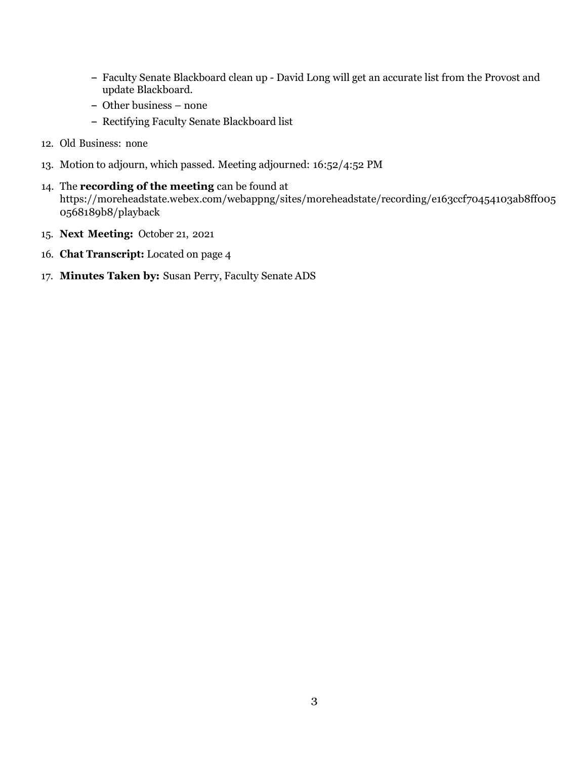- **–** Faculty Senate Blackboard clean up David Long will get an accurate list from the Provost and update Blackboard.
- **–** Other business none
- **–** Rectifying Faculty Senate Blackboard list
- 12. Old Business: none
- 13. Motion to adjourn, which passed. Meeting adjourned: 16:52/4:52 PM
- 14. The **recording of the meeting** can be found at https://moreheadstate.webex.com/webappng/sites/moreheadstate/recording/e163ccf70454103ab8ff005 0568189b8/playback
- 15. **Next Meeting:** October 21, 2021
- 16. **Chat Transcript:** Located on page 4
- 17. **Minutes Taken by:** Susan Perry, Faculty Senate ADS